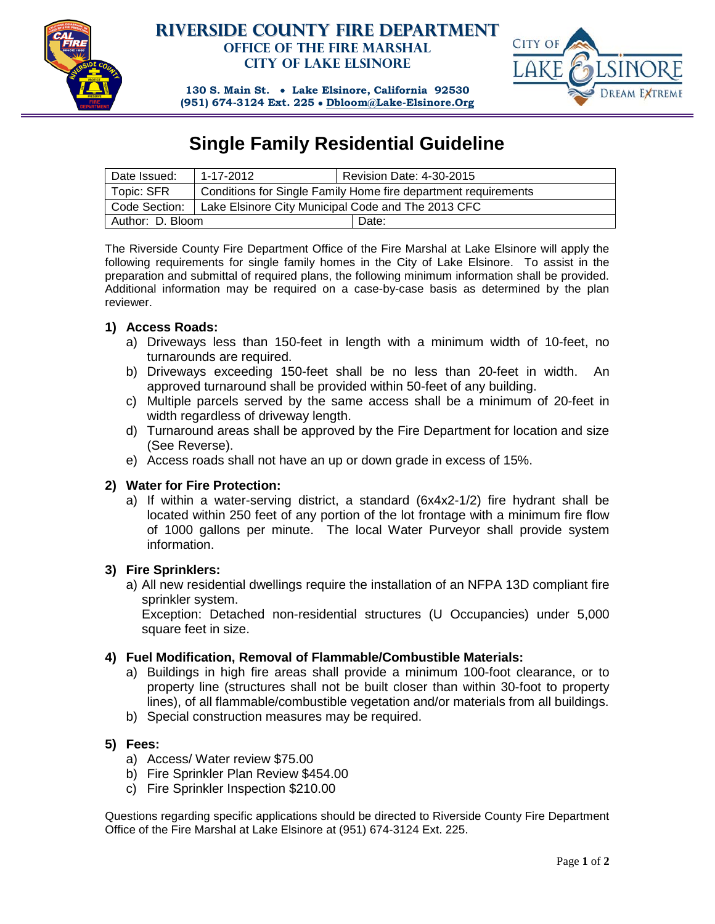

### **Riverside County Fire Department Office of the Fire Marshal City of Lake Elsinore**



**130 S. Main St.** • **Lake Elsinore, California 92530 (951) 674-3124 Ext. 225** • **[Dbloom@Lake-Elsinore.Org](mailto:Dbloom@Lake-Elsinore.Org)**

## **Single Family Residential Guideline**

| Date Issued:     | 1-17-2012                                                      | <b>Revision Date: 4-30-2015</b> |
|------------------|----------------------------------------------------------------|---------------------------------|
| Topic: SFR       | Conditions for Single Family Home fire department requirements |                                 |
| Code Section:    | Lake Elsinore City Municipal Code and The 2013 CFC             |                                 |
| Author: D. Bloom |                                                                | Date:                           |

The Riverside County Fire Department Office of the Fire Marshal at Lake Elsinore will apply the following requirements for single family homes in the City of Lake Elsinore. To assist in the preparation and submittal of required plans, the following minimum information shall be provided. Additional information may be required on a case-by-case basis as determined by the plan reviewer.

#### **1) Access Roads:**

- a) Driveways less than 150-feet in length with a minimum width of 10-feet, no turnarounds are required.
- b) Driveways exceeding 150-feet shall be no less than 20-feet in width. An approved turnaround shall be provided within 50-feet of any building.
- c) Multiple parcels served by the same access shall be a minimum of 20-feet in width regardless of driveway length.
- d) Turnaround areas shall be approved by the Fire Department for location and size (See Reverse).
- e) Access roads shall not have an up or down grade in excess of 15%.

#### **2) Water for Fire Protection:**

a) If within a water-serving district, a standard (6x4x2-1/2) fire hydrant shall be located within 250 feet of any portion of the lot frontage with a minimum fire flow of 1000 gallons per minute. The local Water Purveyor shall provide system information.

#### **3) Fire Sprinklers:**

a) All new residential dwellings require the installation of an NFPA 13D compliant fire sprinkler system.

Exception: Detached non-residential structures (U Occupancies) under 5,000 square feet in size.

#### **4) Fuel Modification, Removal of Flammable/Combustible Materials:**

- a) Buildings in high fire areas shall provide a minimum 100-foot clearance, or to property line (structures shall not be built closer than within 30-foot to property lines), of all flammable/combustible vegetation and/or materials from all buildings.
- b) Special construction measures may be required.

#### **5) Fees:**

- a) Access/ Water review \$75.00
- b) Fire Sprinkler Plan Review \$454.00
- c) Fire Sprinkler Inspection \$210.00

Questions regarding specific applications should be directed to Riverside County Fire Department Office of the Fire Marshal at Lake Elsinore at (951) 674-3124 Ext. 225.